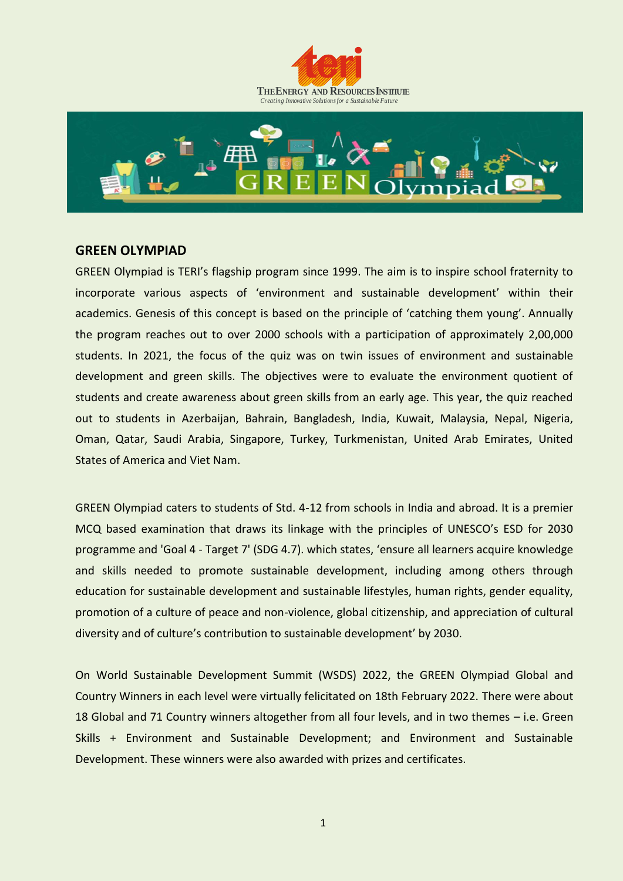



#### **GREEN OLYMPIAD**

GREEN Olympiad is TERI's flagship program since 1999. The aim is to inspire school fraternity to incorporate various aspects of 'environment and sustainable development' within their academics. Genesis of this concept is based on the principle of 'catching them young'. Annually the program reaches out to over 2000 schools with a participation of approximately 2,00,000 students. In 2021, the focus of the quiz was on twin issues of environment and sustainable development and green skills. The objectives were to evaluate the environment quotient of students and create awareness about green skills from an early age. This year, the quiz reached out to students in Azerbaijan, Bahrain, Bangladesh, India, Kuwait, Malaysia, Nepal, Nigeria, Oman, Qatar, Saudi Arabia, Singapore, Turkey, Turkmenistan, United Arab Emirates, United States of America and Viet Nam.

GREEN Olympiad caters to students of Std. 4-12 from schools in India and abroad. It is a premier MCQ based examination that draws its linkage with the principles of UNESCO's ESD for 2030 programme and 'Goal 4 - Target 7' (SDG 4.7). which states, 'ensure all learners acquire knowledge and skills needed to promote sustainable development, including among others through education for sustainable development and sustainable lifestyles, human rights, gender equality, promotion of a culture of peace and non-violence, global citizenship, and appreciation of cultural diversity and of culture's contribution to sustainable development' by 2030.

On World Sustainable Development Summit (WSDS) 2022, the GREEN Olympiad Global and Country Winners in each level were virtually felicitated on 18th February 2022. There were about 18 Global and 71 Country winners altogether from all four levels, and in two themes – i.e. Green Skills + Environment and Sustainable Development; and Environment and Sustainable Development. These winners were also awarded with prizes and certificates.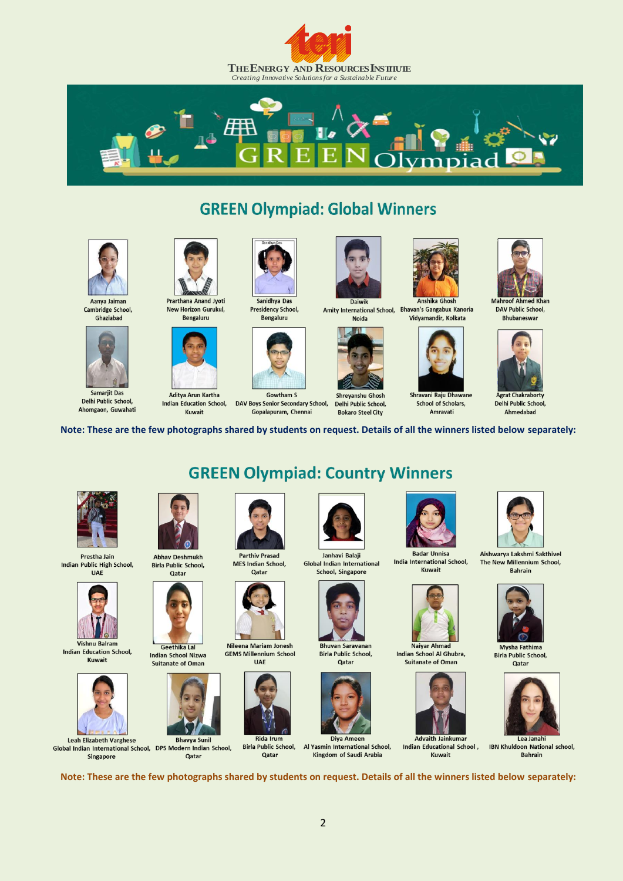



# **GREEN Olympiad: Global Winners**



Aanya Jaiman Cambridge School. Ghaziabad



Delhi Public School. Ahomgaon, Guwahati



New Horizon Gurukul, Bengaluru

Aditya Arun Kartha

Kuwait



Samarjit Das **Indian Education School.** 



**Presidency School. Bengaluru** 



**Gowtham S** DAV Boys Senior Secondary School. Gopalapuram, Chennai



Amity International School, Bhavan's Gangabux Kanoria Vidvamandir, Kolkata Noida



Shreyanshu Ghosh Delhi Public School. **Bokaro Steel City** 



**Mahroof Ahmed Khan** 

**DAV Public School, Bhubaneswar** 



Delhi Public School, Ahmedabad

Note: These are the few photographs shared by students on request. Details of all the winners listed below separately:

**GREEN Olympiad: Country Winners** 



Prestha Jain Indian Public High School, **UAE** 



Vishnu Balram Indian Education School, Kuwait



Singapore

**Abhav Deshmukh Birla Public School.** Qatar





**Bhavya Sunil** Global Indian International School, DPS Modern Indian School, Oatar



**MES Indian School,** Oatar



Nileena Mariam Jonesh **GEMS Millennium School UAF** 



Qatar







**Birla Public School.** Oatar



Al Yasmin International School, Kingdom of Saudi Arabia



School of Scholars.

Amravati

**Badar Unnisa** India International School, **Kuwait** 



Indian School Al Ghubra. **Suitanate of Oman** 



Indian Educational School, Kuwait



Aishwarya Lakshmi Sakthivel The New Millennium School.





**IBN Khuldoon National school, Bahrain** 

Note: These are the few photographs shared by students on request. Details of all the winners listed below separately:

 $\overline{2}$ 



**Global Indian International** 























Mysha Fathima Qatar







Naiyar Ahma













**Rida Irum Birla Public School,** 



**Advaith Jainkumar** 

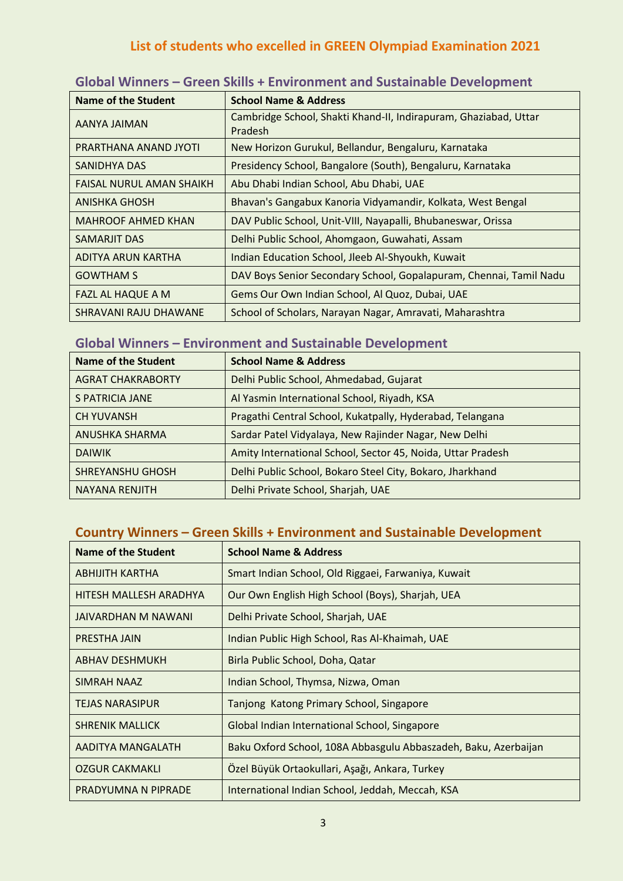## **List of students who excelled in GREEN Olympiad Examination 2021**

| <b>Name of the Student</b>      | <b>School Name &amp; Address</b>                                            |
|---------------------------------|-----------------------------------------------------------------------------|
| AANYA JAIMAN                    | Cambridge School, Shakti Khand-II, Indirapuram, Ghaziabad, Uttar<br>Pradesh |
| PRARTHANA ANAND JYOTI           | New Horizon Gurukul, Bellandur, Bengaluru, Karnataka                        |
| SANIDHYA DAS                    | Presidency School, Bangalore (South), Bengaluru, Karnataka                  |
| <b>FAISAL NURUL AMAN SHAIKH</b> | Abu Dhabi Indian School, Abu Dhabi, UAE                                     |
| <b>ANISHKA GHOSH</b>            | Bhavan's Gangabux Kanoria Vidyamandir, Kolkata, West Bengal                 |
| <b>MAHROOF AHMED KHAN</b>       | DAV Public School, Unit-VIII, Nayapalli, Bhubaneswar, Orissa                |
| <b>SAMARJIT DAS</b>             | Delhi Public School, Ahomgaon, Guwahati, Assam                              |
| ADITYA ARUN KARTHA              | Indian Education School, Jleeb Al-Shyoukh, Kuwait                           |
| <b>GOWTHAM S</b>                | DAV Boys Senior Secondary School, Gopalapuram, Chennai, Tamil Nadu          |
| FAZL AL HAQUE A M               | Gems Our Own Indian School, Al Quoz, Dubai, UAE                             |
| SHRAVANI RAJU DHAWANE           | School of Scholars, Narayan Nagar, Amravati, Maharashtra                    |

#### **Global Winners – Green Skills + Environment and Sustainable Development**

## **Global Winners – Environment and Sustainable Development**

| <b>Name of the Student</b> | <b>School Name &amp; Address</b>                            |
|----------------------------|-------------------------------------------------------------|
| <b>AGRAT CHAKRABORTY</b>   | Delhi Public School, Ahmedabad, Gujarat                     |
| S PATRICIA JANE            | Al Yasmin International School, Riyadh, KSA                 |
| <b>CH YUVANSH</b>          | Pragathi Central School, Kukatpally, Hyderabad, Telangana   |
| ANUSHKA SHARMA             | Sardar Patel Vidyalaya, New Rajinder Nagar, New Delhi       |
| <b>DAIWIK</b>              | Amity International School, Sector 45, Noida, Uttar Pradesh |
| <b>SHREYANSHU GHOSH</b>    | Delhi Public School, Bokaro Steel City, Bokaro, Jharkhand   |
| NAYANA RENJITH             | Delhi Private School, Sharjah, UAE                          |

#### **Country Winners – Green Skills + Environment and Sustainable Development**

| Name of the Student    | <b>School Name &amp; Address</b>                                |
|------------------------|-----------------------------------------------------------------|
| <b>ABHIJITH KARTHA</b> | Smart Indian School, Old Riggaei, Farwaniya, Kuwait             |
| HITESH MALLESH ARADHYA | Our Own English High School (Boys), Sharjah, UEA                |
| JAIVARDHAN M NAWANI    | Delhi Private School, Sharjah, UAE                              |
| PRESTHA JAIN           | Indian Public High School, Ras Al-Khaimah, UAE                  |
| <b>ABHAV DESHMUKH</b>  | Birla Public School, Doha, Qatar                                |
| SIMRAH NAAZ            | Indian School, Thymsa, Nizwa, Oman                              |
| <b>TEJAS NARASIPUR</b> | Tanjong Katong Primary School, Singapore                        |
| <b>SHRENIK MALLICK</b> | Global Indian International School, Singapore                   |
| AADITYA MANGALATH      | Baku Oxford School, 108A Abbasgulu Abbaszadeh, Baku, Azerbaijan |
| <b>OZGUR CAKMAKLI</b>  | Özel Büyük Ortaokullari, Aşağı, Ankara, Turkey                  |
| PRADYUMNA N PIPRADE    | International Indian School, Jeddah, Meccah, KSA                |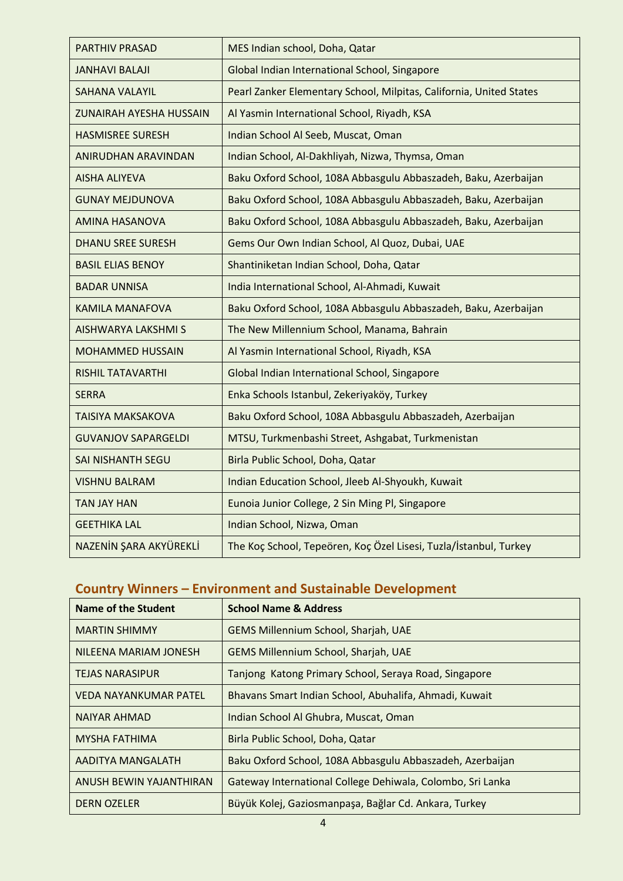| <b>PARTHIV PRASAD</b>      | MES Indian school, Doha, Qatar                                      |
|----------------------------|---------------------------------------------------------------------|
| <b>JANHAVI BALAJI</b>      | Global Indian International School, Singapore                       |
| <b>SAHANA VALAYIL</b>      | Pearl Zanker Elementary School, Milpitas, California, United States |
| ZUNAIRAH AYESHA HUSSAIN    | Al Yasmin International School, Riyadh, KSA                         |
| <b>HASMISREE SURESH</b>    | Indian School Al Seeb, Muscat, Oman                                 |
| ANIRUDHAN ARAVINDAN        | Indian School, Al-Dakhliyah, Nizwa, Thymsa, Oman                    |
| <b>AISHA ALIYEVA</b>       | Baku Oxford School, 108A Abbasgulu Abbaszadeh, Baku, Azerbaijan     |
| <b>GUNAY MEJDUNOVA</b>     | Baku Oxford School, 108A Abbasgulu Abbaszadeh, Baku, Azerbaijan     |
| <b>AMINA HASANOVA</b>      | Baku Oxford School, 108A Abbasgulu Abbaszadeh, Baku, Azerbaijan     |
| <b>DHANU SREE SURESH</b>   | Gems Our Own Indian School, Al Quoz, Dubai, UAE                     |
| <b>BASIL ELIAS BENOY</b>   | Shantiniketan Indian School, Doha, Qatar                            |
| <b>BADAR UNNISA</b>        | India International School, Al-Ahmadi, Kuwait                       |
| <b>KAMILA MANAFOVA</b>     | Baku Oxford School, 108A Abbasgulu Abbaszadeh, Baku, Azerbaijan     |
| <b>AISHWARYA LAKSHMI S</b> | The New Millennium School, Manama, Bahrain                          |
| <b>MOHAMMED HUSSAIN</b>    | Al Yasmin International School, Riyadh, KSA                         |
| <b>RISHIL TATAVARTHI</b>   | Global Indian International School, Singapore                       |
| <b>SERRA</b>               | Enka Schools Istanbul, Zekeriyaköy, Turkey                          |
| <b>TAISIYA MAKSAKOVA</b>   | Baku Oxford School, 108A Abbasgulu Abbaszadeh, Azerbaijan           |
| <b>GUVANJOV SAPARGELDI</b> | MTSU, Turkmenbashi Street, Ashgabat, Turkmenistan                   |
| <b>SAI NISHANTH SEGU</b>   | Birla Public School, Doha, Qatar                                    |
| <b>VISHNU BALRAM</b>       | Indian Education School, Jleeb Al-Shyoukh, Kuwait                   |
| <b>TAN JAY HAN</b>         | Eunoia Junior College, 2 Sin Ming Pl, Singapore                     |
| <b>GEETHIKA LAL</b>        | Indian School, Nizwa, Oman                                          |
| NAZENİN ŞARA AKYÜREKLİ     | The Koç School, Tepeören, Koç Özel Lisesi, Tuzla/İstanbul, Turkey   |

## **Country Winners – Environment and Sustainable Development**

| Name of the Student          | <b>School Name &amp; Address</b>                           |
|------------------------------|------------------------------------------------------------|
| <b>MARTIN SHIMMY</b>         | <b>GEMS Millennium School, Sharjah, UAE</b>                |
| NILEENA MARIAM JONESH        | <b>GEMS Millennium School, Sharjah, UAE</b>                |
| <b>TEJAS NARASIPUR</b>       | Tanjong Katong Primary School, Seraya Road, Singapore      |
| <b>VEDA NAYANKUMAR PATEL</b> | Bhavans Smart Indian School, Abuhalifa, Ahmadi, Kuwait     |
| <b>NAIYAR AHMAD</b>          | Indian School Al Ghubra, Muscat, Oman                      |
| <b>MYSHA FATHIMA</b>         | Birla Public School, Doha, Qatar                           |
| AADITYA MANGALATH            | Baku Oxford School, 108A Abbasgulu Abbaszadeh, Azerbaijan  |
| ANUSH BEWIN YAJANTHIRAN      | Gateway International College Dehiwala, Colombo, Sri Lanka |
| <b>DERN OZELER</b>           | Büyük Kolej, Gaziosmanpaşa, Bağlar Cd. Ankara, Turkey      |